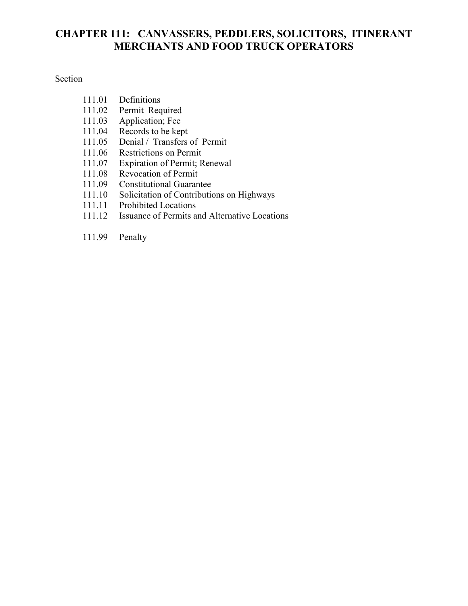# **CHAPTER 111: CANVASSERS, PEDDLERS, SOLICITORS, ITINERANT MERCHANTS AND FOOD TRUCK OPERATORS**

#### Section

- 111.01 Definitions
- 111.02 Permit Required<br>111.03 Application; Fee
- 111.03 Application; Fee<br>111.04 Records to be kep
- Records to be kept
- 111.05 Denial / Transfers of Permit
- 111.06 Restrictions on Permit
- 111.07 Expiration of Permit; Renewal<br>111.08 Revocation of Permit
- Revocation of Permit
- 111.09 Constitutional Guarantee
- 111.10 Solicitation of Contributions on Highways
- 111.11 Prohibited Locations<br>111.12 Issuance of Permits and
- Issuance of Permits and Alternative Locations
- 111.99 Penalty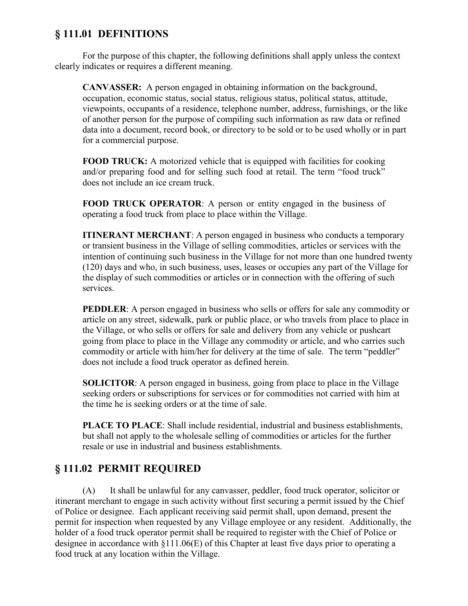### **§ 111.01 DEFINITIONS**

For the purpose of this chapter, the following definitions shall apply unless the context clearly indicates or requires a different meaning.

**CANVASSER:** A person engaged in obtaining information on the background, occupation, economic status, social status, religious status, political status, attitude, viewpoints, occupants of a residence, telephone number, address, furnishings, or the like of another person for the purpose of compiling such information as raw data or refined data into a document, record book, or directory to be sold or to be used wholly or in part for a commercial purpose.

**FOOD TRUCK:** A motorized vehicle that is equipped with facilities for cooking and/or preparing food and for selling such food at retail. The term "food truck" does not include an ice cream truck.

**FOOD TRUCK OPERATOR**: A person or entity engaged in the business of operating a food truck from place to place within the Village.

**ITINERANT MERCHANT:** A person engaged in business who conducts a temporary or transient business in the Village of selling commodities, articles or services with the intention of continuing such business in the Village for not more than one hundred twenty (120) days and who, in such business, uses, leases or occupies any part of the Village for the display of such commodities or articles or in connection with the offering of such services.

**PEDDLER**: A person engaged in business who sells or offers for sale any commodity or article on any street, sidewalk, park or public place, or who travels from place to place in the Village, or who sells or offers for sale and delivery from any vehicle or pushcart going from place to place in the Village any commodity or article, and who carries such commodity or article with him/her for delivery at the time of sale. The term "peddler" does not include a food truck operator as defined herein.

**SOLICITOR**: A person engaged in business, going from place to place in the Village seeking orders or subscriptions for services or for commodities not carried with him at the time he is seeking orders or at the time of sale.

**PLACE TO PLACE**: Shall include residential, industrial and business establishments, but shall not apply to the wholesale selling of commodities or articles for the further resale or use in industrial and business establishments.

### **§ 111.02 PERMIT REQUIRED**

(A) It shall be unlawful for any canvasser, peddler, food truck operator, solicitor or itinerant merchant to engage in such activity without first securing a permit issued by the Chief of Police or designee. Each applicant receiving said permit shall, upon demand, present the permit for inspection when requested by any Village employee or any resident. Additionally, the holder of a food truck operator permit shall be required to register with the Chief of Police or designee in accordance with §111.06(E) of this Chapter at least five days prior to operating a food truck at any location within the Village.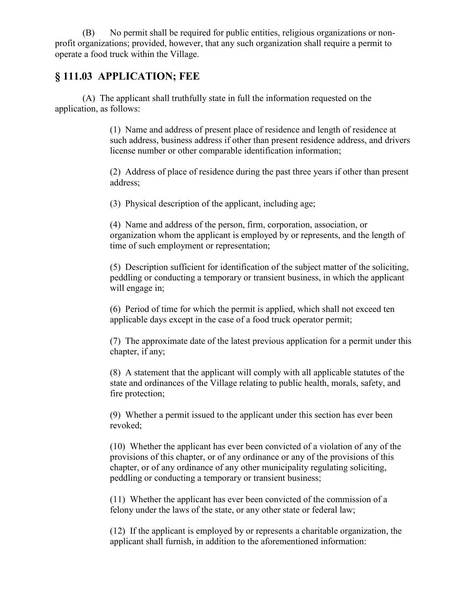(B) No permit shall be required for public entities, religious organizations or nonprofit organizations; provided, however, that any such organization shall require a permit to operate a food truck within the Village.

### **§ 111.03 APPLICATION; FEE**

(A) The applicant shall truthfully state in full the information requested on the application, as follows:

> (1) Name and address of present place of residence and length of residence at such address, business address if other than present residence address, and drivers license number or other comparable identification information;

> (2) Address of place of residence during the past three years if other than present address;

(3) Physical description of the applicant, including age;

(4) Name and address of the person, firm, corporation, association, or organization whom the applicant is employed by or represents, and the length of time of such employment or representation;

(5) Description sufficient for identification of the subject matter of the soliciting, peddling or conducting a temporary or transient business, in which the applicant will engage in;

(6) Period of time for which the permit is applied, which shall not exceed ten applicable days except in the case of a food truck operator permit;

(7) The approximate date of the latest previous application for a permit under this chapter, if any;

(8) A statement that the applicant will comply with all applicable statutes of the state and ordinances of the Village relating to public health, morals, safety, and fire protection;

(9) Whether a permit issued to the applicant under this section has ever been revoked;

(10) Whether the applicant has ever been convicted of a violation of any of the provisions of this chapter, or of any ordinance or any of the provisions of this chapter, or of any ordinance of any other municipality regulating soliciting, peddling or conducting a temporary or transient business;

(11) Whether the applicant has ever been convicted of the commission of a felony under the laws of the state, or any other state or federal law;

(12) If the applicant is employed by or represents a charitable organization, the applicant shall furnish, in addition to the aforementioned information: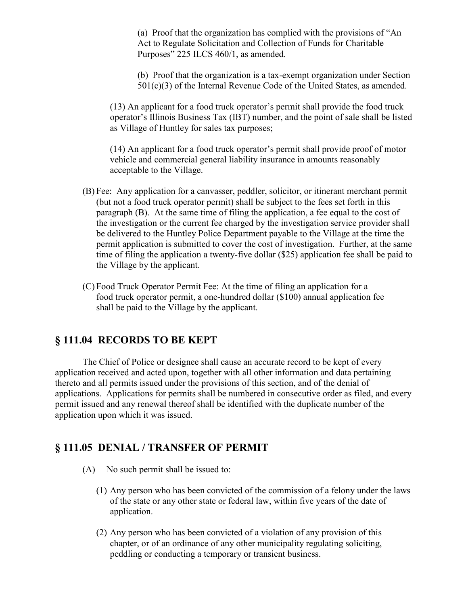(a) Proof that the organization has complied with the provisions of "An Act to Regulate Solicitation and Collection of Funds for Charitable Purposes" 225 ILCS 460/1, as amended.

(b) Proof that the organization is a tax-exempt organization under Section 501(c)(3) of the Internal Revenue Code of the United States, as amended.

(13) An applicant for a food truck operator's permit shall provide the food truck operator's Illinois Business Tax (IBT) number, and the point of sale shall be listed as Village of Huntley for sales tax purposes;

(14) An applicant for a food truck operator's permit shall provide proof of motor vehicle and commercial general liability insurance in amounts reasonably acceptable to the Village.

- (B) Fee: Any application for a canvasser, peddler, solicitor, or itinerant merchant permit (but not a food truck operator permit) shall be subject to the fees set forth in this paragraph (B). At the same time of filing the application, a fee equal to the cost of the investigation or the current fee charged by the investigation service provider shall be delivered to the Huntley Police Department payable to the Village at the time the permit application is submitted to cover the cost of investigation. Further, at the same time of filing the application a twenty-five dollar (\$25) application fee shall be paid to the Village by the applicant.
- (C) Food Truck Operator Permit Fee: At the time of filing an application for a food truck operator permit, a one-hundred dollar (\$100) annual application fee shall be paid to the Village by the applicant.

### **§ 111.04 RECORDS TO BE KEPT**

The Chief of Police or designee shall cause an accurate record to be kept of every application received and acted upon, together with all other information and data pertaining thereto and all permits issued under the provisions of this section, and of the denial of applications. Applications for permits shall be numbered in consecutive order as filed, and every permit issued and any renewal thereof shall be identified with the duplicate number of the application upon which it was issued.

# **§ 111.05 DENIAL / TRANSFER OF PERMIT**

- (A) No such permit shall be issued to:
	- (1) Any person who has been convicted of the commission of a felony under the laws of the state or any other state or federal law, within five years of the date of application.
	- (2) Any person who has been convicted of a violation of any provision of this chapter, or of an ordinance of any other municipality regulating soliciting, peddling or conducting a temporary or transient business.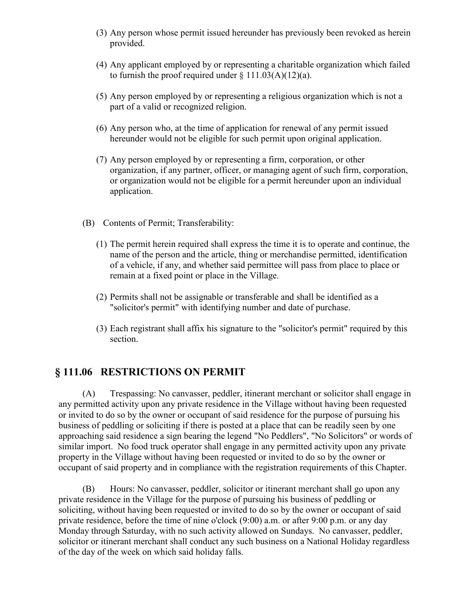- (3) Any person whose permit issued hereunder has previously been revoked as herein provided.
- (4) Any applicant employed by or representing a charitable organization which failed to furnish the proof required under  $\S 111.03(A)(12)(a)$ .
- (5) Any person employed by or representing a religious organization which is not a part of a valid or recognized religion.
- (6) Any person who, at the time of application for renewal of any permit issued hereunder would not be eligible for such permit upon original application.
- (7) Any person employed by or representing a firm, corporation, or other organization, if any partner, officer, or managing agent of such firm, corporation, or organization would not be eligible for a permit hereunder upon an individual application.
- (B) Contents of Permit; Transferability:
	- (1) The permit herein required shall express the time it is to operate and continue, the name of the person and the article, thing or merchandise permitted, identification of a vehicle, if any, and whether said permittee will pass from place to place or remain at a fixed point or place in the Village.
	- (2) Permits shall not be assignable or transferable and shall be identified as a "solicitor's permit" with identifying number and date of purchase.
	- (3) Each registrant shall affix his signature to the "solicitor's permit" required by this section.

### **§ 111.06 RESTRICTIONS ON PERMIT**

(A) Trespassing: No canvasser, peddler, itinerant merchant or solicitor shall engage in any permitted activity upon any private residence in the Village without having been requested or invited to do so by the owner or occupant of said residence for the purpose of pursuing his business of peddling or soliciting if there is posted at a place that can be readily seen by one approaching said residence a sign bearing the legend "No Peddlers", "No Solicitors" or words of similar import. No food truck operator shall engage in any permitted activity upon any private property in the Village without having been requested or invited to do so by the owner or occupant of said property and in compliance with the registration requirements of this Chapter.

(B) Hours: No canvasser, peddler, solicitor or itinerant merchant shall go upon any private residence in the Village for the purpose of pursuing his business of peddling or soliciting, without having been requested or invited to do so by the owner or occupant of said private residence, before the time of nine o'clock (9:00) a.m. or after 9:00 p.m. or any day Monday through Saturday, with no such activity allowed on Sundays. No canvasser, peddler, solicitor or itinerant merchant shall conduct any such business on a National Holiday regardless of the day of the week on which said holiday falls.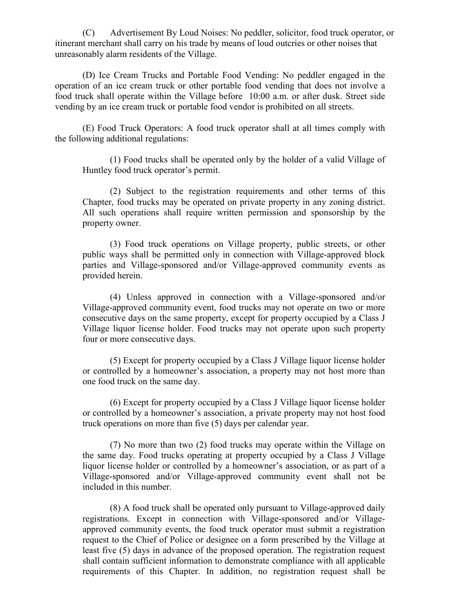(C) Advertisement By Loud Noises: No peddler, solicitor, food truck operator, or itinerant merchant shall carry on his trade by means of loud outcries or other noises that unreasonably alarm residents of the Village.

(D) Ice Cream Trucks and Portable Food Vending: No peddler engaged in the operation of an ice cream truck or other portable food vending that does not involve a food truck shall operate within the Village before 10:00 a.m. or after dusk. Street side vending by an ice cream truck or portable food vendor is prohibited on all streets.

(E) Food Truck Operators: A food truck operator shall at all times comply with the following additional regulations:

(1) Food trucks shall be operated only by the holder of a valid Village of Huntley food truck operator's permit.

(2) Subject to the registration requirements and other terms of this Chapter, food trucks may be operated on private property in any zoning district. All such operations shall require written permission and sponsorship by the property owner.

(3) Food truck operations on Village property, public streets, or other public ways shall be permitted only in connection with Village-approved block parties and Village-sponsored and/or Village-approved community events as provided herein.

(4) Unless approved in connection with a Village-sponsored and/or Village-approved community event, food trucks may not operate on two or more consecutive days on the same property, except for property occupied by a Class J Village liquor license holder. Food trucks may not operate upon such property four or more consecutive days.

(5) Except for property occupied by a Class J Village liquor license holder or controlled by a homeowner's association, a property may not host more than one food truck on the same day.

(6) Except for property occupied by a Class J Village liquor license holder or controlled by a homeowner's association, a private property may not host food truck operations on more than five (5) days per calendar year.

(7) No more than two (2) food trucks may operate within the Village on the same day. Food trucks operating at property occupied by a Class J Village liquor license holder or controlled by a homeowner's association, or as part of a Village-sponsored and/or Village-approved community event shall not be included in this number.

(8) A food truck shall be operated only pursuant to Village-approved daily registrations. Except in connection with Village-sponsored and/or Villageapproved community events, the food truck operator must submit a registration request to the Chief of Police or designee on a form prescribed by the Village at least five (5) days in advance of the proposed operation. The registration request shall contain sufficient information to demonstrate compliance with all applicable requirements of this Chapter. In addition, no registration request shall be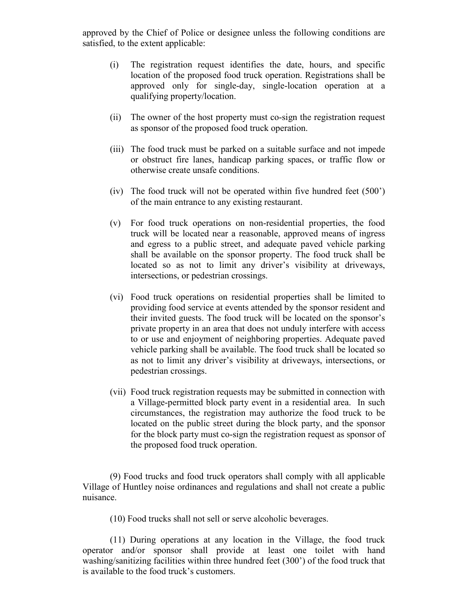approved by the Chief of Police or designee unless the following conditions are satisfied, to the extent applicable:

- (i) The registration request identifies the date, hours, and specific location of the proposed food truck operation. Registrations shall be approved only for single-day, single-location operation at a qualifying property/location.
- (ii) The owner of the host property must co-sign the registration request as sponsor of the proposed food truck operation.
- (iii) The food truck must be parked on a suitable surface and not impede or obstruct fire lanes, handicap parking spaces, or traffic flow or otherwise create unsafe conditions.
- (iv) The food truck will not be operated within five hundred feet (500') of the main entrance to any existing restaurant.
- (v) For food truck operations on non-residential properties, the food truck will be located near a reasonable, approved means of ingress and egress to a public street, and adequate paved vehicle parking shall be available on the sponsor property. The food truck shall be located so as not to limit any driver's visibility at driveways, intersections, or pedestrian crossings.
- (vi) Food truck operations on residential properties shall be limited to providing food service at events attended by the sponsor resident and their invited guests. The food truck will be located on the sponsor's private property in an area that does not unduly interfere with access to or use and enjoyment of neighboring properties. Adequate paved vehicle parking shall be available. The food truck shall be located so as not to limit any driver's visibility at driveways, intersections, or pedestrian crossings.
- (vii) Food truck registration requests may be submitted in connection with a Village-permitted block party event in a residential area. In such circumstances, the registration may authorize the food truck to be located on the public street during the block party, and the sponsor for the block party must co-sign the registration request as sponsor of the proposed food truck operation.

(9) Food trucks and food truck operators shall comply with all applicable Village of Huntley noise ordinances and regulations and shall not create a public nuisance.

(10) Food trucks shall not sell or serve alcoholic beverages.

(11) During operations at any location in the Village, the food truck operator and/or sponsor shall provide at least one toilet with hand washing/sanitizing facilities within three hundred feet (300') of the food truck that is available to the food truck's customers.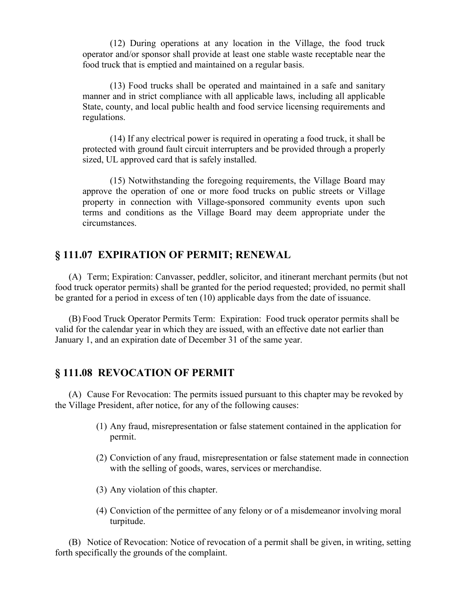(12) During operations at any location in the Village, the food truck operator and/or sponsor shall provide at least one stable waste receptable near the food truck that is emptied and maintained on a regular basis.

(13) Food trucks shall be operated and maintained in a safe and sanitary manner and in strict compliance with all applicable laws, including all applicable State, county, and local public health and food service licensing requirements and regulations.

(14) If any electrical power is required in operating a food truck, it shall be protected with ground fault circuit interrupters and be provided through a properly sized, UL approved card that is safely installed.

(15) Notwithstanding the foregoing requirements, the Village Board may approve the operation of one or more food trucks on public streets or Village property in connection with Village-sponsored community events upon such terms and conditions as the Village Board may deem appropriate under the circumstances.

### **§ 111.07 EXPIRATION OF PERMIT; RENEWAL**

(A) Term; Expiration: Canvasser, peddler, solicitor, and itinerant merchant permits (but not food truck operator permits) shall be granted for the period requested; provided, no permit shall be granted for a period in excess of ten (10) applicable days from the date of issuance.

(B) Food Truck Operator Permits Term: Expiration: Food truck operator permits shall be valid for the calendar year in which they are issued, with an effective date not earlier than January 1, and an expiration date of December 31 of the same year.

#### **§ 111.08 REVOCATION OF PERMIT**

(A) Cause For Revocation: The permits issued pursuant to this chapter may be revoked by the Village President, after notice, for any of the following causes:

- (1) Any fraud, misrepresentation or false statement contained in the application for permit.
- (2) Conviction of any fraud, misrepresentation or false statement made in connection with the selling of goods, wares, services or merchandise.
- (3) Any violation of this chapter.
- (4) Conviction of the permittee of any felony or of a misdemeanor involving moral turpitude.

(B) Notice of Revocation: Notice of revocation of a permit shall be given, in writing, setting forth specifically the grounds of the complaint.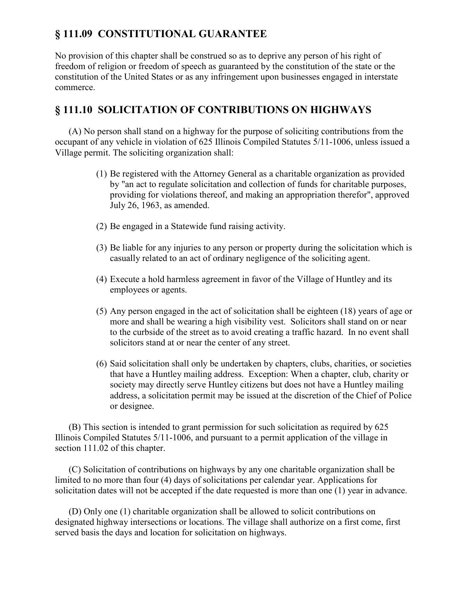# **§ 111.09 CONSTITUTIONAL GUARANTEE**

No provision of this chapter shall be construed so as to deprive any person of his right of freedom of religion or freedom of speech as guaranteed by the constitution of the state or the constitution of the United States or as any infringement upon businesses engaged in interstate commerce.

## **§ 111.10 SOLICITATION OF CONTRIBUTIONS ON HIGHWAYS**

(A) No person shall stand on a highway for the purpose of soliciting contributions from the occupant of any vehicle in violation of 625 Illinois Compiled Statutes 5/11-1006, unless issued a Village permit. The soliciting organization shall:

- (1) Be registered with the Attorney General as a charitable organization as provided by "an act to regulate solicitation and collection of funds for charitable purposes, providing for violations thereof, and making an appropriation therefor", approved July 26, 1963, as amended.
- (2) Be engaged in a Statewide fund raising activity.
- (3) Be liable for any injuries to any person or property during the solicitation which is casually related to an act of ordinary negligence of the soliciting agent.
- (4) Execute a hold harmless agreement in favor of the Village of Huntley and its employees or agents.
- (5) Any person engaged in the act of solicitation shall be eighteen (18) years of age or more and shall be wearing a high visibility vest. Solicitors shall stand on or near to the curbside of the street as to avoid creating a traffic hazard. In no event shall solicitors stand at or near the center of any street.
- (6) Said solicitation shall only be undertaken by chapters, clubs, charities, or societies that have a Huntley mailing address. Exception: When a chapter, club, charity or society may directly serve Huntley citizens but does not have a Huntley mailing address, a solicitation permit may be issued at the discretion of the Chief of Police or designee.

(B) This section is intended to grant permission for such solicitation as required by 625 Illinois Compiled Statutes 5/11-1006, and pursuant to a permit application of the village in section 111.02 of this chapter.

(C) Solicitation of contributions on highways by any one charitable organization shall be limited to no more than four (4) days of solicitations per calendar year. Applications for solicitation dates will not be accepted if the date requested is more than one (1) year in advance.

(D) Only one (1) charitable organization shall be allowed to solicit contributions on designated highway intersections or locations. The village shall authorize on a first come, first served basis the days and location for solicitation on highways.